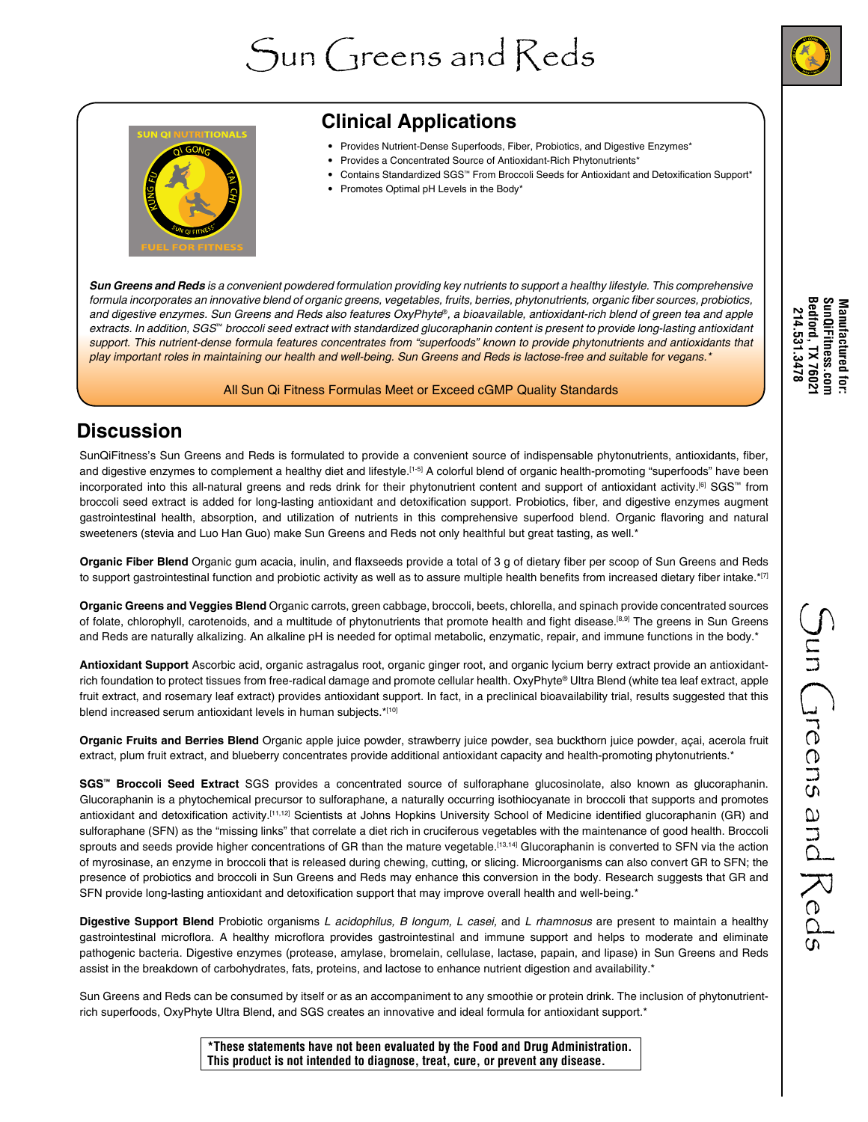



# **Clinical Applications**

- Provides Nutrient-Dense Superfoods, Fiber, Probiotics, and Digestive Enzymes\*
- Provides a Concentrated Source of Antioxidant-Rich Phytonutrients\*
- Contains Standardized SGS™ From Broccoli Seeds for Antioxidant and Detoxification Support\*
- Promotes Optimal pH Levels in the Body\*

*Sun Greens and Reds is a convenient powdered formulation providing key nutrients to support a healthy lifestyle. This comprehensive*  formula incorporates an innovative blend of organic greens, vegetables, fruits, berries, phytonutrients, organic fiber sources, probiotics, *and digestive enzymes. Sun Greens and Reds also features OxyPhyte*®*, a bioavailable, antioxidant-rich blend of green tea and apple extracts. In addition, SGS*™ *broccoli seed extract with standardized glucoraphanin content is present to provide long-lasting antioxidant support. This nutrient-dense formula features concentrates from "superfoods" known to provide phytonutrients and antioxidants that play important roles in maintaining our health and well-being. Sun Greens and Reds is lactose-free and suitable for vegans.\**

#### All Sun Qi Fitness Formulas Meet or Exceed cGMP Quality Standards

### **Discussion**

SunQiFitness's Sun Greens and Reds is formulated to provide a convenient source of indispensable phytonutrients, antioxidants, fiber, and digestive enzymes to complement a healthy diet and lifestyle.<sup>[1-5]</sup> A colorful blend of organic health-promoting "superfoods" have been incorporated into this all-natural greens and reds drink for their phytonutrient content and support of antioxidant activity.[6] SGS™ from broccoli seed extract is added for long-lasting antioxidant and detoxification support. Probiotics, fiber, and digestive enzymes augment gastrointestinal health, absorption, and utilization of nutrients in this comprehensive superfood blend. Organic flavoring and natural sweeteners (stevia and Luo Han Guo) make Sun Greens and Reds not only healthful but great tasting, as well.\*

**Organic Fiber Blend** Organic gum acacia, inulin, and flaxseeds provide a total of 3 g of dietary fiber per scoop of Sun Greens and Reds to support gastrointestinal function and probiotic activity as well as to assure multiple health benefits from increased dietary fiber intake.\*[7]

**Organic Greens and Veggies Blend** Organic carrots, green cabbage, broccoli, beets, chlorella, and spinach provide concentrated sources of folate, chlorophyll, carotenoids, and a multitude of phytonutrients that promote health and fight disease.<sup>[8,9]</sup> The greens in Sun Greens and Reds are naturally alkalizing. An alkaline pH is needed for optimal metabolic, enzymatic, repair, and immune functions in the body.\*

**Antioxidant Support** Ascorbic acid, organic astragalus root, organic ginger root, and organic lycium berry extract provide an antioxidantrich foundation to protect tissues from free-radical damage and promote cellular health. OxyPhyte® Ultra Blend (white tea leaf extract, apple fruit extract, and rosemary leaf extract) provides antioxidant support. In fact, in a preclinical bioavailability trial, results suggested that this blend increased serum antioxidant levels in human subjects.\*[10]

**Organic Fruits and Berries Blend** Organic apple juice powder, strawberry juice powder, sea buckthorn juice powder, açai, acerola fruit extract, plum fruit extract, and blueberry concentrates provide additional antioxidant capacity and health-promoting phytonutrients.\*

**SGS™ Broccoli Seed Extract** SGS provides a concentrated source of sulforaphane glucosinolate, also known as glucoraphanin. Glucoraphanin is a phytochemical precursor to sulforaphane, a naturally occurring isothiocyanate in broccoli that supports and promotes antioxidant and detoxification activity.[11,12] Scientists at Johns Hopkins University School of Medicine identified glucoraphanin (GR) and sulforaphane (SFN) as the "missing links" that correlate a diet rich in cruciferous vegetables with the maintenance of good health. Broccoli sprouts and seeds provide higher concentrations of GR than the mature vegetable.<sup>[13,14]</sup> Glucoraphanin is converted to SFN via the action of myrosinase, an enzyme in broccoli that is released during chewing, cutting, or slicing. Microorganisms can also convert GR to SFN; the presence of probiotics and broccoli in Sun Greens and Reds may enhance this conversion in the body. Research suggests that GR and SFN provide long-lasting antioxidant and detoxification support that may improve overall health and well-being.\*

**Digestive Support Blend** Probiotic organisms *L acidophilus, B longum, L casei,* and *L rhamnosus* are present to maintain a healthy gastrointestinal microflora. A healthy microflora provides gastrointestinal and immune support and helps to moderate and eliminate pathogenic bacteria. Digestive enzymes (protease, amylase, bromelain, cellulase, lactase, papain, and lipase) in Sun Greens and Reds assist in the breakdown of carbohydrates, fats, proteins, and lactose to enhance nutrient digestion and availability.\*

Sun Greens and Reds can be consumed by itself or as an accompaniment to any smoothie or protein drink. The inclusion of phytonutrientrich superfoods, OxyPhyte Ultra Blend, and SGS creates an innovative and ideal formula for antioxidant support.\*

**\*These statements have not been evaluated by the Food and Drug Administration. This product is not intended to diagnose, treat, cure, or prevent any disease.**